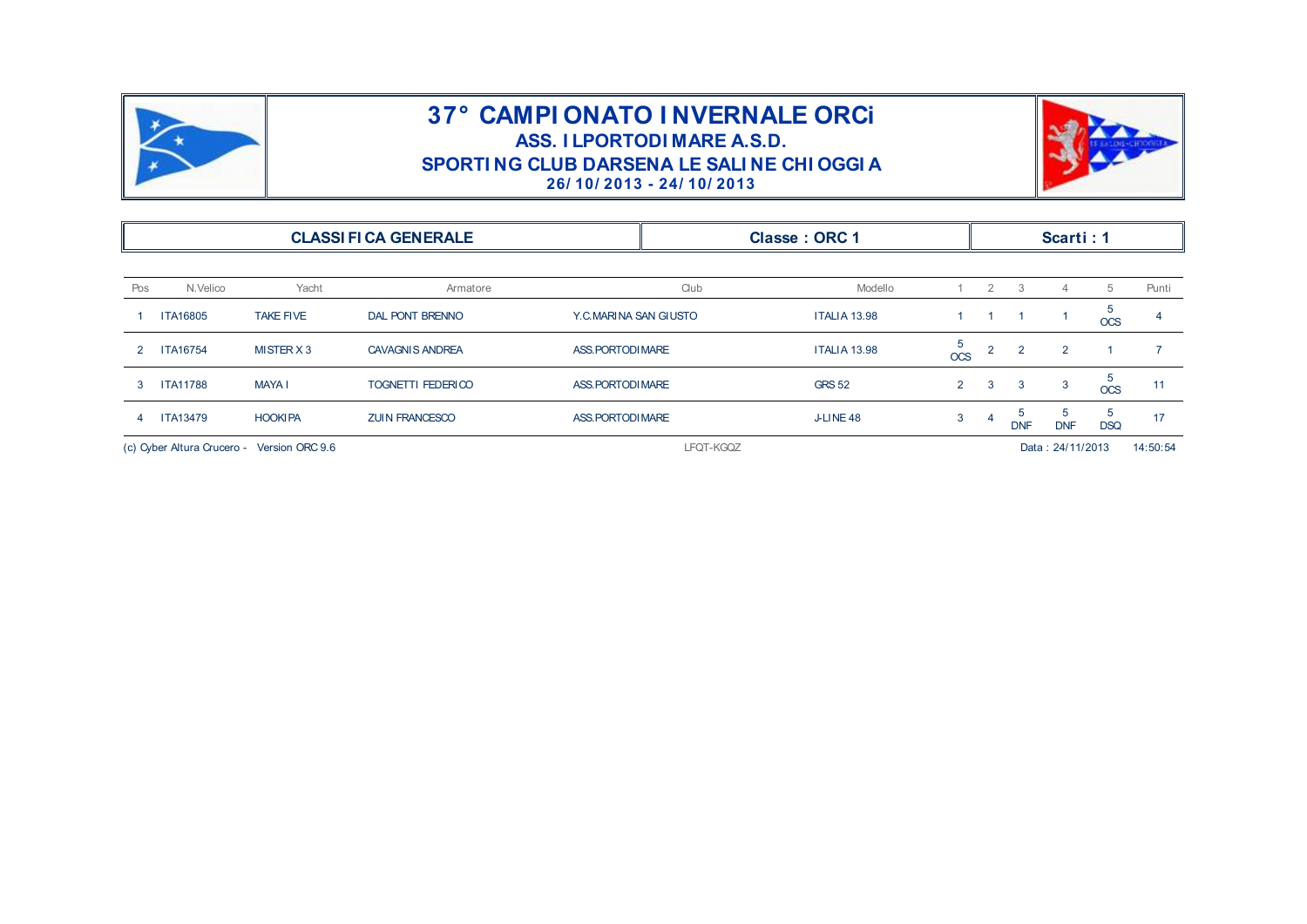



|                                               |                 |                  |                              |                       | 26/10/2013 - 24/10/2013 | SPORTING CLUB DARSENA LE SALINE CHI OGGI A |                              |                       |                  |                 |                 |       |
|-----------------------------------------------|-----------------|------------------|------------------------------|-----------------------|-------------------------|--------------------------------------------|------------------------------|-----------------------|------------------|-----------------|-----------------|-------|
|                                               |                 |                  | <b>CLASSI FI CA GENERALE</b> |                       |                         | Classe: ORC 1                              |                              |                       |                  | Scarti: 1       |                 |       |
| Pos                                           | N.Velico        | Yacht            | Armatore                     |                       | Club                    | Modello                                    |                              | $\mathbf{2}^{\prime}$ | 3                | 4               | 5               | Punti |
|                                               | <b>ITA16805</b> | <b>TAKE FIVE</b> | <b>DAL PONT BRENNO</b>       | Y.C.MARINA SAN GIUSTO |                         | <b>ITALIA 13.98</b>                        | 1                            |                       |                  | -1              | 5<br>$OCS$      |       |
| 2                                             | <b>ITA16754</b> | MISTER X 3       | <b>CAVAGNIS ANDREA</b>       | ASS. PORTODI MARE     |                         | <b>ITALIA 13.98</b>                        | 5<br>$\overline{\text{OCS}}$ | <sup>2</sup>          | $\overline{2}$   | $\overline{2}$  |                 | 7     |
| 3                                             | <b>ITA11788</b> | <b>MAYA I</b>    | TOGNETTI FEDERICO            | ASS. PORTODI MARE     |                         | <b>GRS 52</b>                              | $2^{\circ}$                  | 3                     | 3                | 3               | 5<br><b>OCS</b> | 11    |
| 4                                             | <b>ITA13479</b> | <b>HOOKIPA</b>   | <b>ZUIN FRANCESCO</b>        | ASS. PORTODI MARE     |                         | J-LINE 48                                  | 3                            | 4                     | <b>DNF</b>       | 5<br><b>DNF</b> | 5<br><b>DSQ</b> | 17    |
| (c) Cyber Altura Crucero -<br>Version ORC 9.6 |                 |                  | LFQT-KGQZ                    |                       |                         |                                            |                              |                       | Data: 24/11/2013 |                 | 14:50:54        |       |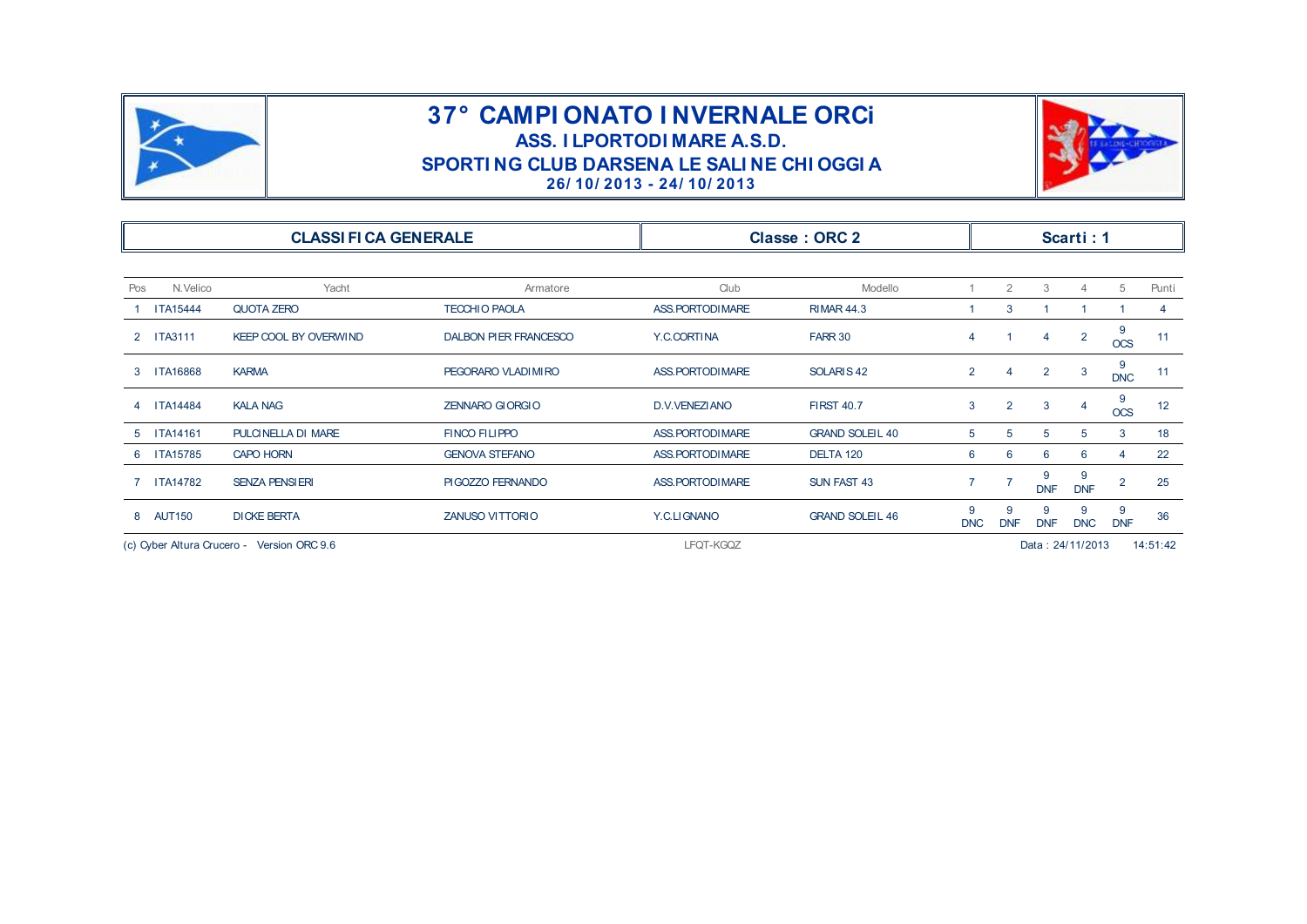



|                                 |                                            | SPORTING CLUB DARSENA LE SALINE CHI OGGI A | 26/10/2013 - 24/10/2013 |                        |                 |                 |                 |                  |                 |          |
|---------------------------------|--------------------------------------------|--------------------------------------------|-------------------------|------------------------|-----------------|-----------------|-----------------|------------------|-----------------|----------|
|                                 | <b>CLASSI FI CA GENERALE</b>               |                                            |                         | <b>Classe: ORC 2</b>   |                 |                 |                 | Scarti: 1        |                 |          |
| Pos<br>N.Velico                 | Yacht                                      | Armatore                                   | Club                    | Modello                |                 | $\overline{2}$  | 3               | 4                | 5               | Punti    |
| <b>ITA15444</b>                 | QUOTA ZERO                                 | <b>TECCHIO PAOLA</b>                       | ASS. PORTODI MARE       | <b>RIMAR 44.3</b>      |                 | 3               |                 |                  |                 | 4        |
| <b>ITA3111</b><br>$\mathcal{P}$ | <b>KEEP COOL BY OVERWIND</b>               | <b>DALBON PIER FRANCESCO</b>               | Y.C.CORTINA             | FARR 30                | 4               |                 | 4               | $\overline{2}$   | 9<br><b>OCS</b> | 11       |
| <b>ITA16868</b><br>3            | <b>KARMA</b>                               | PEGORARO VLADIMIRO                         | ASS. PORTODI MARE       | SOLARIS <sub>42</sub>  | $\overline{2}$  | 4               | $\overline{2}$  | 3                | 9<br><b>DNC</b> | 11       |
| <b>ITA14484</b>                 | <b>KALA NAG</b>                            | <b>ZENNARO GIORGIO</b>                     | D.V.VENEZIANO           | <b>FIRST 40.7</b>      | 3               | $\overline{2}$  | 3               | 4                | 9<br><b>OCS</b> | 12       |
| <b>ITA14161</b>                 | PULCINELLA DI MARE                         | <b>FINCO FILIPPO</b>                       | ASS. PORTODI MARE       | <b>GRAND SOLEIL 40</b> | 5               | 5               | 5               | 5                | 3               | 18       |
| <b>ITA15785</b>                 | <b>CAPO HORN</b>                           | <b>GENOVA STEFANO</b>                      | ASS. PORTODI MARE       | DELTA 120              | 6               | 6               | 6               | 6                | 4               | 22       |
| <b>ITA14782</b>                 | <b>SENZA PENSIERI</b>                      | PIGOZZO FERNANDO                           | ASS. PORTODI MARE       | <b>SUN FAST 43</b>     | $\overline{7}$  |                 | 9<br><b>DNF</b> | 9<br><b>DNF</b>  | $\overline{2}$  | 25       |
| <b>AUT150</b><br>8              | <b>DICKE BERTA</b>                         | ZANUSO VITTORIO                            | Y.C.LIGNANO             | <b>GRAND SOLEIL 46</b> | 9<br><b>DNC</b> | 9<br><b>DNF</b> | 9<br><b>DNF</b> | 9<br><b>DNC</b>  | 9<br><b>DNF</b> | 36       |
|                                 | (c) Cyber Altura Crucero - Version ORC 9.6 |                                            | LFQT-KGQZ               |                        |                 |                 |                 | Data: 24/11/2013 |                 | 14:51:42 |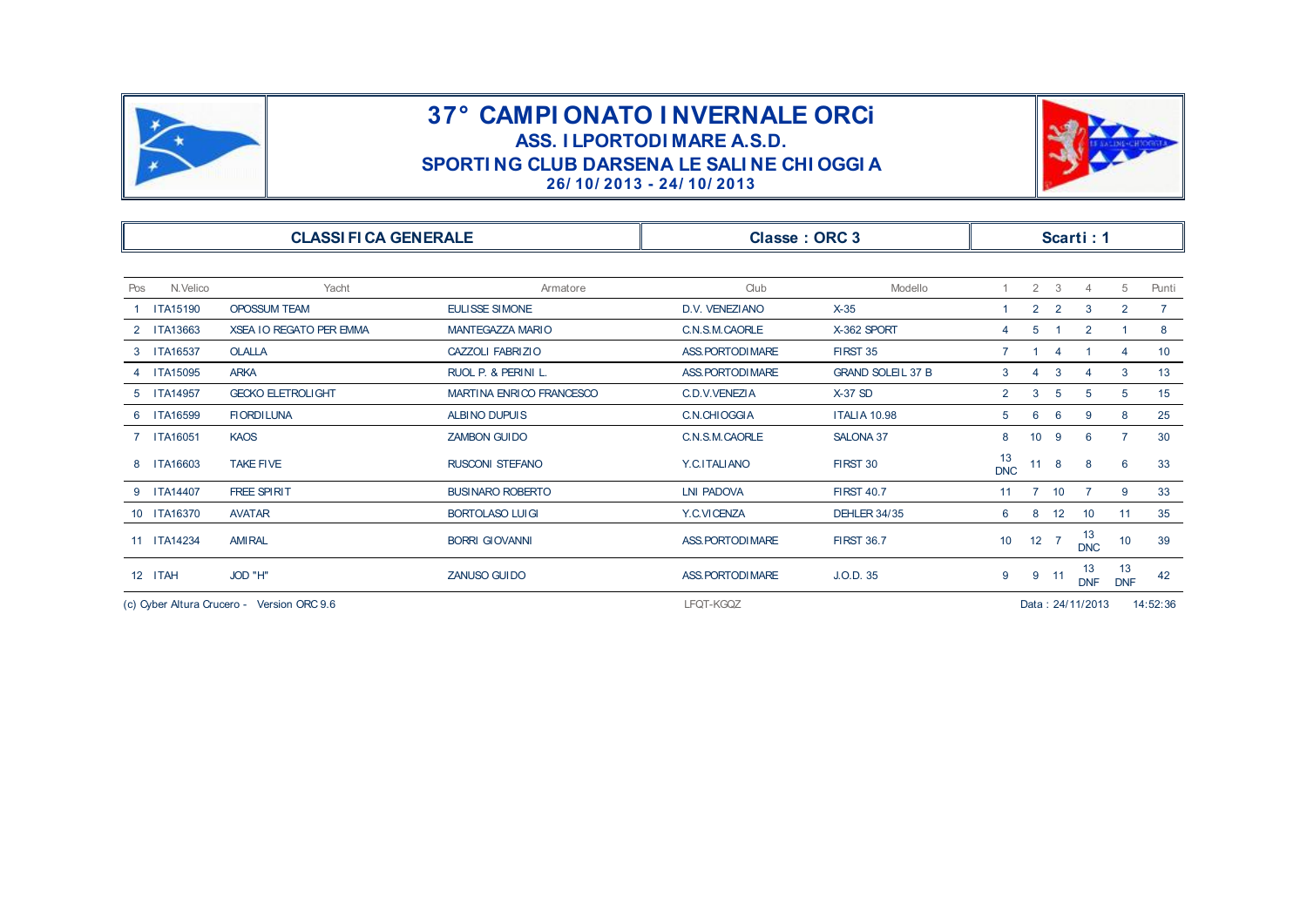



|                 |                                            | SPORTING CLUB DARSENA LE SALINE CHI OGGI A | 26/10/2013 - 24/10/2013 |                          |                  |                 |                |                  |                  |                 |
|-----------------|--------------------------------------------|--------------------------------------------|-------------------------|--------------------------|------------------|-----------------|----------------|------------------|------------------|-----------------|
|                 | <b>CLASSI FI CA GENERALE</b>               |                                            | <b>Classe: ORC 3</b>    |                          |                  |                 |                | Scarti: 1        |                  |                 |
| N.Velico<br>Pos | Yacht                                      | Armatore                                   | Club                    | Modello                  | 1                | $\overline{2}$  | 3              | $\overline{4}$   | 5                | Punti           |
| <b>ITA15190</b> | <b>OPOSSUM TEAM</b>                        | <b>EULISSE SIMONE</b>                      | D.V. VENEZIANO          | $X-35$                   | 1                | $\overline{2}$  | $\overline{2}$ | 3                | $\overline{2}$   | $7^{\circ}$     |
| 2 ITA13663      | <b>XSEA IO REGATO PER EMMA</b>             | MANTEGAZZA MARIO                           | C.N.S.M.CAORLE          | X-362 SPORT              | 4                | 5               |                | $\overline{2}$   |                  | 8               |
| 3 ITA16537      | <b>OLALLA</b>                              | CAZZOLI FABRIZIO                           | ASS. PORTODI MARE       | FIRST 35                 | $\overline{7}$   |                 | 4              |                  | $\overline{4}$   | 10 <sup>°</sup> |
| 4 ITA15095      | <b>ARKA</b>                                | RUOL P. & PERINI L.                        | ASS. PORTODI MARE       | <b>GRAND SOLEIL 37 B</b> | 3                | 4               | 3              | 4                | 3                | 13              |
| 5 ITA14957      | <b>GECKO ELETROLIGHT</b>                   | MARTINA ENRICO FRANCESCO                   | C.D.V.VENEZIA           | $X-37$ SD                | $\overline{2}$   | 3               | 5              | 5                | 5                | 15              |
| <b>ITA16599</b> | <b>FIORDILUNA</b>                          | ALBINO DUPUIS                              | C.N.CHIOGGIA            | <b>ITALIA 10.98</b>      | 5                | 6               | 6              | 9                | 8                | 25              |
| 7 ITA16051      | <b>KAOS</b>                                | <b>ZAMBON GUI DO</b>                       | C.N.S.M.CAORLE          | SALONA 37                | 8                | 10 <sup>°</sup> | -9             | 6                | $\overline{7}$   | 30              |
| 8 ITA16603      | <b>TAKE FIVE</b>                           | <b>RUSCONI STEFANO</b>                     | Y.C.ITALIANO            | FIRST 30                 | 13<br><b>DNC</b> | $11 \quad 8$    |                | 8                | 6                | 33              |
| 9 ITA14407      | <b>FREE SPIRIT</b>                         | <b>BUSINARO ROBERTO</b>                    | <b>LNI PADOVA</b>       | <b>FIRST 40.7</b>        | 11               |                 | 7 10           | $\overline{7}$   | 9                | 33              |
| 10 ITA16370     | <b>AVATAR</b>                              | <b>BORTOLASO LUIGI</b>                     | Y.C.VICENZA             | <b>DEHLER 34/35</b>      | 6                | 8               | 12             | 10               | 11               | 35              |
| 11 ITA14234     | <b>AMIRAL</b>                              | <b>BORRI GIOVANNI</b>                      | ASS. PORTODI MARE       | <b>FIRST 36.7</b>        | 10 <sup>°</sup>  | $12 \quad 7$    |                | 13<br><b>DNC</b> | 10               | 39              |
| 12 ITAH         | JOD "H"                                    | ZANUSO GUIDO                               | ASS. PORTODI MARE       | J.O.D. 35                | 9                |                 | $9$ 11         | 13<br><b>DNF</b> | 13<br><b>DNF</b> | 42              |
|                 | (c) Oyber Altura Crucero - Version ORC 9.6 |                                            | LFQT-KGQZ               |                          |                  |                 |                | Data: 24/11/2013 |                  | 14:52:36        |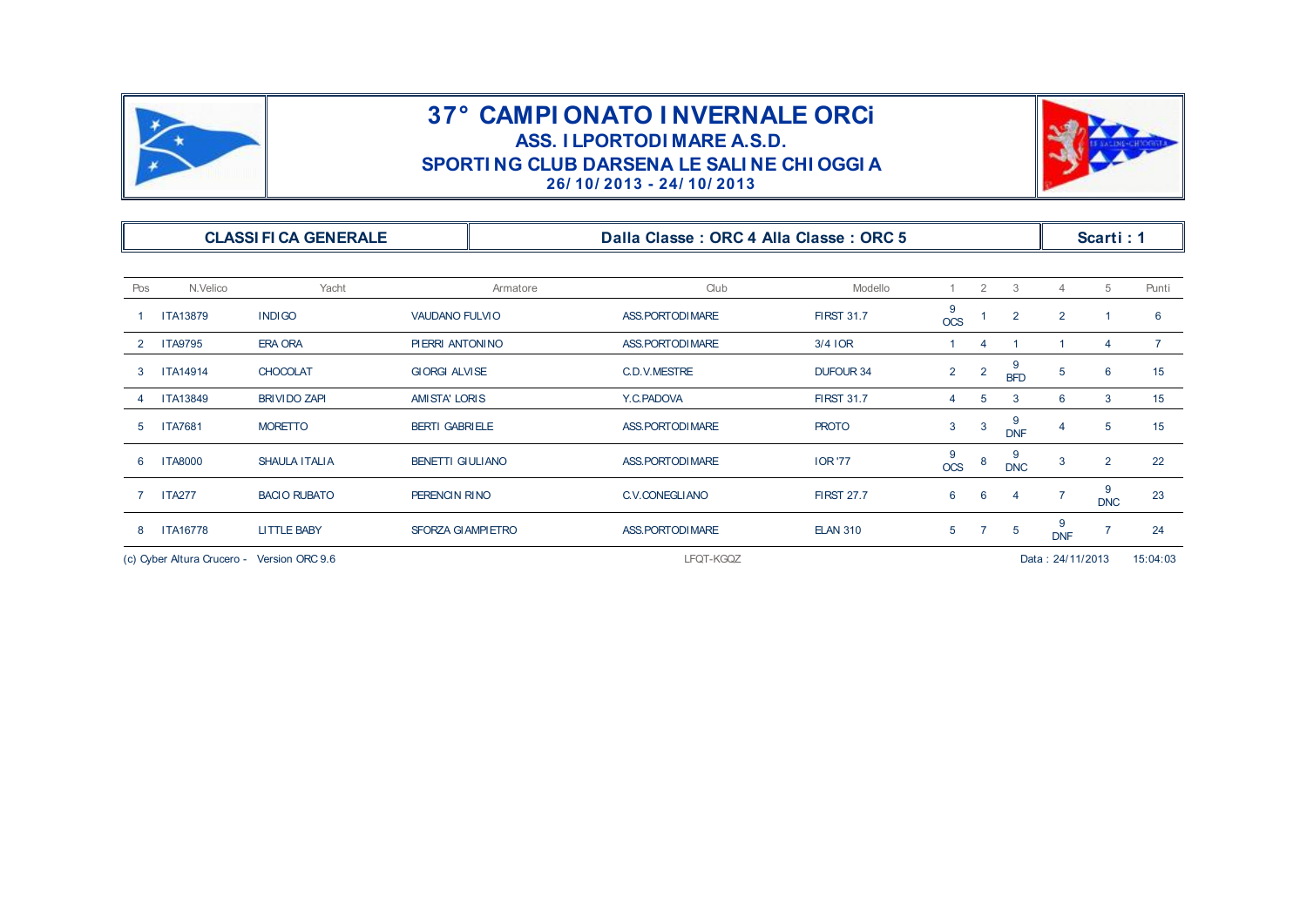



|                |                                            |                              |                          |          | SPORTING CLUB DARSENA LE SALINE CHI OGGI A<br>26/10/2013 - 24/10/2013 |                   |                              |                |                 |                  |                 |                 |
|----------------|--------------------------------------------|------------------------------|--------------------------|----------|-----------------------------------------------------------------------|-------------------|------------------------------|----------------|-----------------|------------------|-----------------|-----------------|
|                |                                            | <b>CLASSI FI CA GENERALE</b> |                          |          | Dalla Classe: ORC 4 Alla Classe: ORC 5                                |                   |                              |                |                 |                  | Scarti: 1       |                 |
| Pos            | N.Velico                                   | Yacht                        |                          | Armatore | Club                                                                  | Modello           |                              | $\overline{2}$ | 3               | $\overline{4}$   | 5               | Punti           |
|                | <b>ITA13879</b>                            | <b>INDIGO</b>                | VAUDANO FULVIO           |          | ASS. PORTODI MARE                                                     | <b>FIRST 31.7</b> | 9<br>$\overline{\text{OCS}}$ |                | $\overline{2}$  | $\overline{2}$   |                 | 6               |
| $\overline{2}$ | <b>ITA9795</b>                             | <b>ERA ORA</b>               | PIERRI ANTONINO          |          | ASS. PORTODI MARE                                                     | $3/4$ IOR         |                              | 4              |                 | -1               | $\overline{4}$  | $7^{\circ}$     |
| 3              | <b>ITA14914</b>                            | <b>CHOCOLAT</b>              | <b>GIORGI ALVISE</b>     |          | C.D.V.MESTRE                                                          | <b>DUFOUR 34</b>  | $2^{\circ}$                  | $\overline{2}$ | 9<br><b>BFD</b> | 5                | 6               | 15              |
|                | <b>ITA13849</b>                            | <b>BRIVIDO ZAPI</b>          | AMISTA' LORIS            |          | Y.C.PADOVA                                                            | <b>FIRST 31.7</b> | 4                            | 5              | 3               | 6                | 3               | 15 <sup>1</sup> |
| 5              | <b>ITA7681</b>                             | <b>MORETTO</b>               | <b>BERTI GABRIELE</b>    |          | ASS. PORTODI MARE                                                     | <b>PROTO</b>      | 3                            | 3              | 9<br><b>DNF</b> | -4               | 5               | 15              |
| 6              | <b>ITA8000</b>                             | SHAULA ITALIA                | <b>BENETTI GIULIANO</b>  |          | ASS. PORTODI MARE                                                     | <b>IOR</b> '77    | 9<br><b>OCS</b>              | 8              | 9<br><b>DNC</b> | 3                | $\overline{2}$  | 22              |
|                | <b>ITA277</b>                              | <b>BACIO RUBATO</b>          | PERENCIN RINO            |          | C.V.CONEGLIANO                                                        | <b>FIRST 27.7</b> | 6                            | 6              | 4               | $\overline{7}$   | 9<br><b>DNC</b> | 23              |
| 8              | <b>ITA16778</b>                            | <b>LITTLE BABY</b>           | <b>SFORZA GIAMPIETRO</b> |          | ASS. PORTODI MARE                                                     | <b>ELAN 310</b>   | 5 <sup>5</sup>               | $\overline{7}$ | 5               | 9<br><b>DNF</b>  | $\overline{7}$  | 24              |
|                | (c) Cyber Altura Crucero - Version ORC 9.6 |                              |                          |          | LFQT-KGQZ                                                             |                   |                              |                |                 | Data: 24/11/2013 |                 | 15:04:03        |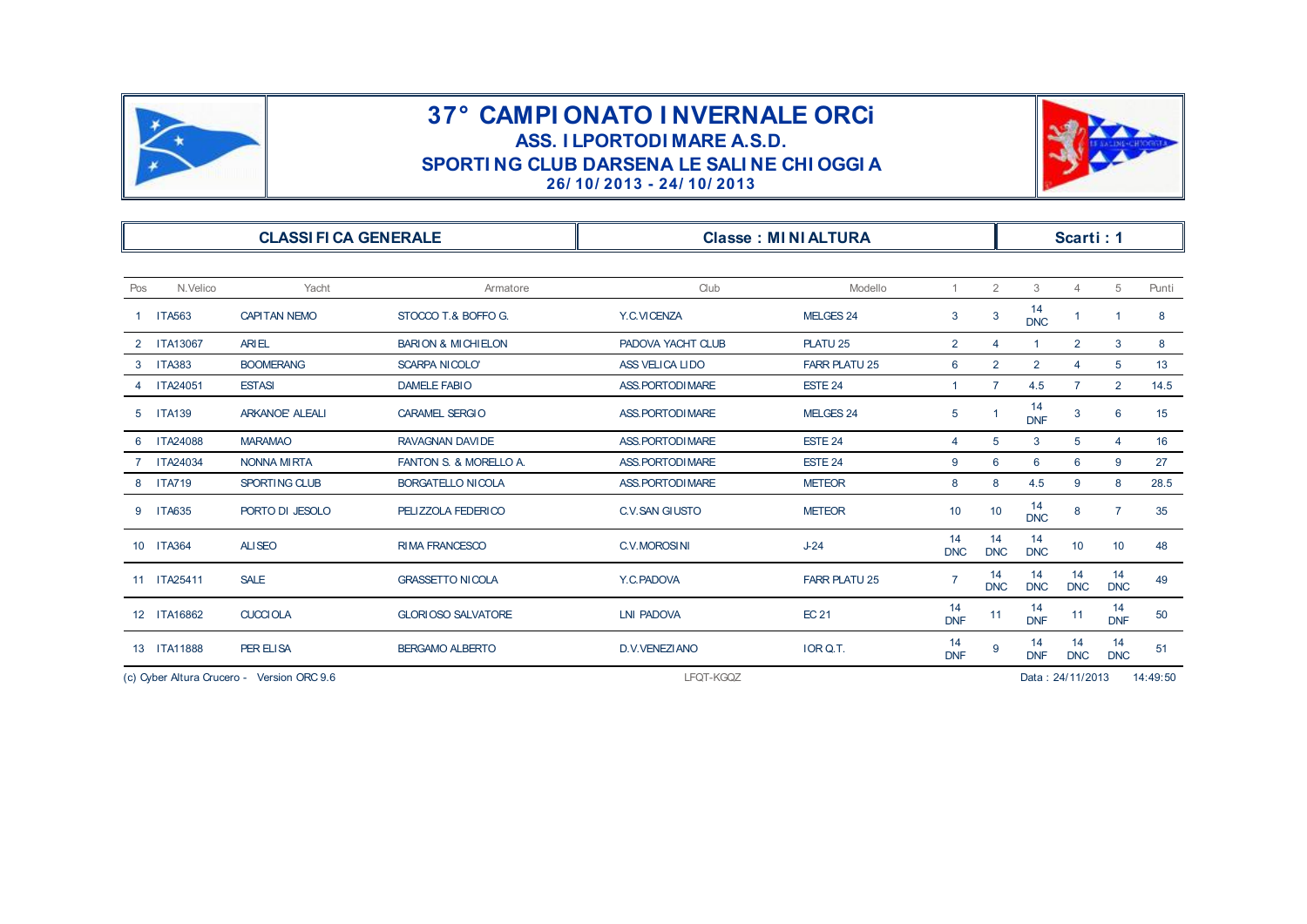



| <b>CLASSI FI CA GENERALE</b> |                 |                       |                               |                   | <b>Classe: MINIALTURA</b> |                  |                  |                  | Scarti: 1        |                  |       |
|------------------------------|-----------------|-----------------------|-------------------------------|-------------------|---------------------------|------------------|------------------|------------------|------------------|------------------|-------|
| Pos                          | N.Velico        | Yacht                 | Armatore                      | Club              | Modello                   | $\mathbf{1}$     | $\overline{2}$   | 3                | $\overline{4}$   | 5                | Punti |
|                              | 1 ITA563        | <b>CAPITAN NEMO</b>   | STOCCO T.& BOFFO G.           | Y.C.VICENZA       | MELGES 24                 | 3                | 3                | 14<br><b>DNC</b> | -1               | -1               | 8     |
| $^{2}$                       | <b>ITA13067</b> | <b>ARIEL</b>          | <b>BARION &amp; MICHIELON</b> | PADOVA YACHT CLUB | PLATU <sub>25</sub>       | $\overline{2}$   | 4                | $\mathbf{1}$     | $\overline{2}$   | 3                | 8     |
|                              | 3 ITA383        | <b>BOOMERANG</b>      | <b>SCARPA NICOLO'</b>         | ASS VELICA LIDO   | <b>FARR PLATU 25</b>      | 6                | $\overline{2}$   | $\overline{2}$   | 4                | 5                | 13    |
|                              | <b>ITA24051</b> | <b>ESTASI</b>         | <b>DAMELE FABIO</b>           | ASS. PORTODI MARE | ESTE 24                   | $\mathbf{1}$     | $\overline{7}$   | 4.5              | $\overline{7}$   | $\overline{2}$   | 14.5  |
| 5                            | <b>ITA139</b>   | <b>ARKANOE ALEALI</b> | <b>CARAMEL SERGIO</b>         | ASS. PORTODI MARE | MELGES 24                 | 5                | $\overline{1}$   | 14<br><b>DNF</b> | 3                | $6\phantom{1}6$  | 15    |
|                              | <b>ITA24088</b> | <b>MARAMAO</b>        | <b>RAVAGNAN DAVIDE</b>        | ASS. PORTODI MARE | ESTE 24                   | $\overline{4}$   | 5                | 3                | 5                | $\overline{4}$   | 16    |
|                              | 7 ITA24034      | <b>NONNA MIRTA</b>    | FANTON S. & MORELLO A.        | ASS. PORTODI MARE | ESTE 24                   | 9                | 6                | 6                | 6                | 9                | 27    |
|                              | 8 ITA719        | SPORTING CLUB         | <b>BORGATELLO NICOLA</b>      | ASS. PORTODI MARE | <b>METEOR</b>             | 8                | 8                | 4.5              | 9                | 8                | 28.5  |
| 9                            | <b>ITA635</b>   | PORTO DI JESOLO       | PELIZZOLA FEDERICO            | C.V. SAN GIUSTO   | <b>METEOR</b>             | 10               | 10               | 14<br><b>DNC</b> | 8                | $\overline{7}$   | 35    |
|                              | 10 ITA364       | <b>ALISEO</b>         | <b>RIMA FRANCESCO</b>         | C.V.MOROSINI      | $J-24$                    | 14<br><b>DNC</b> | 14<br><b>DNC</b> | 14<br><b>DNC</b> | 10               | 10               | 48    |
|                              | 11 ITA25411     | <b>SALE</b>           | <b>GRASSETTO NICOLA</b>       | Y.C.PADOVA        | <b>FARR PLATU 25</b>      |                  | 14<br><b>DNC</b> | 14<br><b>DNC</b> | 14<br><b>DNC</b> | 14<br><b>DNC</b> | 49    |
|                              | 12 ITA16862     | <b>CUCCIOLA</b>       | <b>GLORIOSO SALVATORE</b>     | <b>LNI PADOVA</b> | <b>EC 21</b>              | 14<br><b>DNF</b> | 11               | 14<br><b>DNF</b> | 11               | 14<br><b>DNF</b> | 50    |
|                              | 13 ITA11888     | PER ELISA             | <b>BERGAMO ALBERTO</b>        | D.V.VENEZIANO     | IOR Q.T.                  | 14<br><b>DNF</b> | 9                | 14<br><b>DNF</b> | 14<br><b>DNC</b> | 14<br><b>DNC</b> | 51    |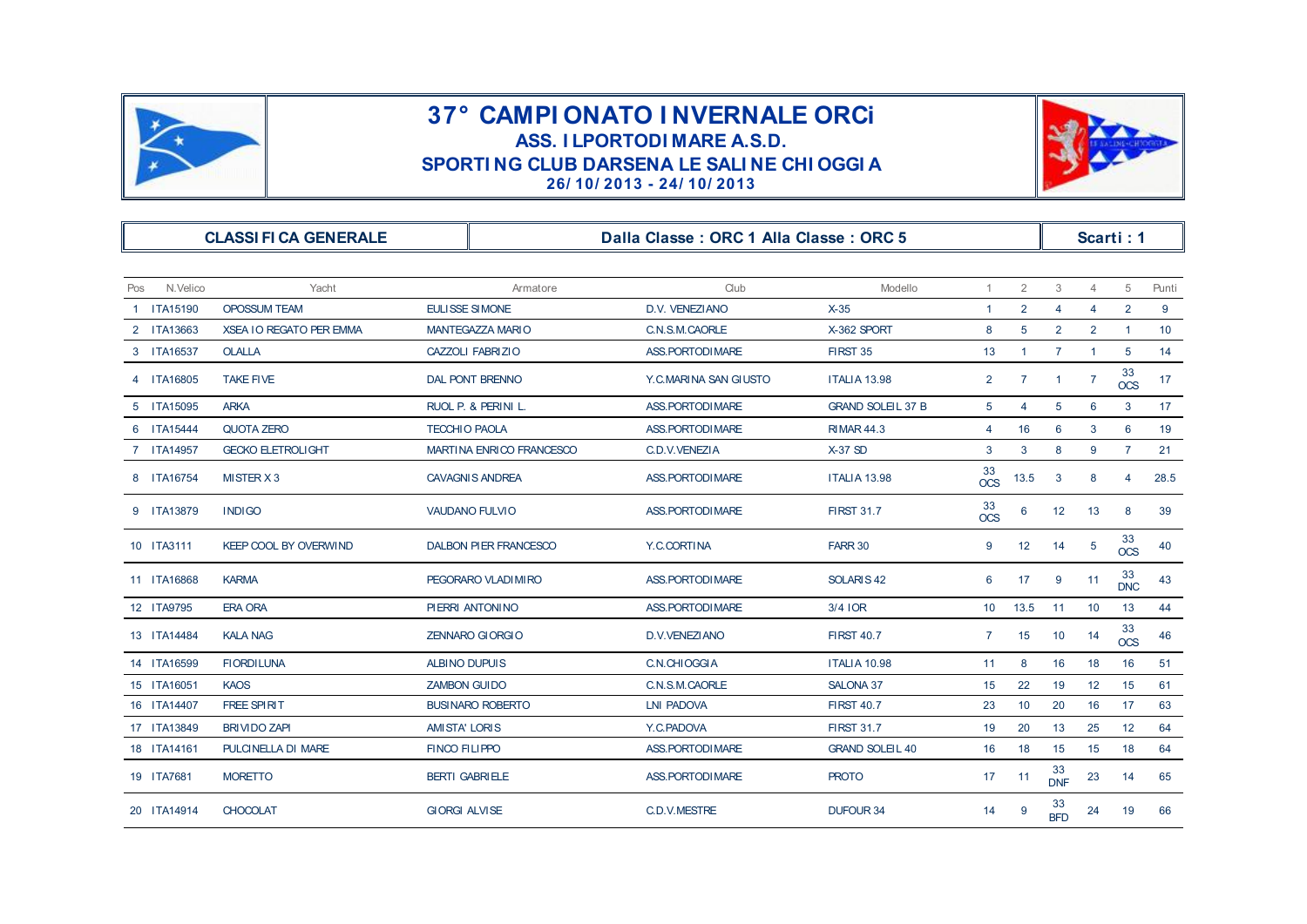



|                 |                                | SPORTING CLUB DARSENA LE SALINE CHI OGGI A | 26/10/2013 - 24/10/2013                |                          |                |                |                  |                 |                  |                 |
|-----------------|--------------------------------|--------------------------------------------|----------------------------------------|--------------------------|----------------|----------------|------------------|-----------------|------------------|-----------------|
|                 | <b>CLASSI FI CA GENERALE</b>   |                                            | Dalla Classe: ORC 1 Alla Classe: ORC 5 |                          |                |                |                  |                 | Scarti: 1        |                 |
| Pos<br>N.Velico | Yacht                          | Armatore                                   | Club                                   | Modello                  | $\mathbf{1}$   | $\overline{2}$ | 3                | $\overline{4}$  | 5                | Punti           |
| 1 ITA15190      | <b>OPOSSUM TEAM</b>            | EULISSE SIMONE                             | D.V. VENEZIANO                         | $X-35$                   | $\mathbf{1}$   | $\overline{2}$ | $\overline{4}$   | $\overline{4}$  | $\overline{2}$   | 9               |
| 2 ITA13663      | <b>XSEA IO REGATO PER EMMA</b> | <b>MANTEGAZZA MARIO</b>                    | C.N.S.M.CAORLE                         | X-362 SPORT              | 8              | 5              | $\overline{2}$   | $\overline{2}$  | $\mathbf{1}$     | 10 <sup>°</sup> |
| 3 ITA16537      | <b>OLALLA</b>                  | CAZZOLI FABRIZIO                           | ASS. PORTODI MARE                      | FIRST 35                 | 13             | $\overline{1}$ | $7^{\circ}$      | $\overline{1}$  | 5                | 14              |
| 4 ITA16805      | <b>TAKE FIVE</b>               | <b>DAL PONT BRENNO</b>                     | Y.C.MARINA SAN GIUSTO                  | <b>ITALIA 13.98</b>      | $\overline{2}$ | $\overline{7}$ | $\mathbf{1}$     | $\overline{7}$  | 33<br><b>OCS</b> | 17              |
| 5 ITA15095      | <b>ARKA</b>                    | RUOL P. & PERINI L.                        | ASS. PORTODI MARE                      | <b>GRAND SOLEIL 37 B</b> | 5              | 4              | 5                | 6               | 3                | 17 <sup>2</sup> |
| 6 ITA15444      | <b>QUOTA ZERO</b>              | <b>TECCHIO PAOLA</b>                       | ASS. PORTODI MARE                      | <b>RIMAR 44.3</b>        | 4              | 16             | 6                | 3               | 6                | 19              |
| 7 ITA14957      | <b>GECKO ELETROLIGHT</b>       | MARTINA ENRICO FRANCESCO                   | C.D.V.VENEZIA                          | $X-37$ SD                | 3              | 3              | 8                | 9               | $\overline{7}$   | 21              |
| 8 ITA16754      | MISTER X 3                     | <b>CAVAGNIS ANDREA</b>                     | ASS. PORTODI MARE                      | <b>ITALIA 13.98</b>      | 33<br>OCS      | 13.5           | 3                | 8               | 4                | 28.5            |
| 9 ITA13879      | <b>INDIGO</b>                  | VAUDANO FULVIO                             | ASS. PORTODI MARE                      | <b>FIRST 31.7</b>        | 33<br>$OCS$    | 6              | 12               | 13              | 8                | 39              |
| 10 ITA3111      | <b>KEEP COOL BY OVERWIND</b>   | <b>DALBON PIER FRANCESCO</b>               | Y.C.CORTINA                            | FARR 30                  | 9              | 12             | 14               | $5\overline{)}$ | 33<br><b>OCS</b> | 40              |
| 11 ITA16868     | <b>KARMA</b>                   | PEGORARO VLADI MI RO                       | ASS. PORTODI MARE                      | SOLARIS <sub>42</sub>    | 6              | 17             | 9                | 11              | 33<br><b>DNC</b> | 43              |
| 12 ITA9795      | <b>ERA ORA</b>                 | PIERRI ANTONINO                            | <b>ASS. PORTODI MARE</b>               | 3/4 IOR                  | 10             | 13.5           | 11               | 10              | 13               | 44              |
| 13 ITA14484     | <b>KALA NAG</b>                | <b>ZENNARO GIORGIO</b>                     | D.V.VENEZIANO                          | <b>FIRST 40.7</b>        | $\overline{7}$ | 15             | 10               | 14              | 33<br><b>OCS</b> | 46              |
| 14 ITA16599     | <b>FIORDILUNA</b>              | <b>ALBINO DUPUIS</b>                       | C.N.CHIOGGIA                           | <b>ITALIA 10.98</b>      | 11             | 8              | 16               | 18              | 16               | 51              |
| 15 ITA16051     | <b>KAOS</b>                    | <b>ZAMBON GUIDO</b>                        | C.N.S.M.CAORLE                         | <b>SALONA 37</b>         | 15             | 22             | 19               | 12              | 15               | 61              |
| 16 ITA14407     | FREE SPIRIT                    | <b>BUSINARO ROBERTO</b>                    | <b>LNI PADOVA</b>                      | <b>FIRST 40.7</b>        | 23             | 10             | 20               | 16              | 17               | 63              |
| 17 ITA13849     | <b>BRIVIDO ZAPI</b>            | <b>AMISTA' LORIS</b>                       | Y.C.PADOVA                             | <b>FIRST 31.7</b>        | 19             | 20             | 13               | 25              | 12               | 64              |
| 18 ITA14161     | PULCINELLA DI MARE             | <b>FINCO FILIPPO</b>                       | ASS. PORTODI MARE                      | <b>GRAND SOLEL 40</b>    | 16             | 18             | 15               | 15              | 18               | 64              |
| 19 ITA7681      | <b>MORETTO</b>                 | <b>BERTI GABRIELE</b>                      | ASS. PORTODI MARE                      | <b>PROTO</b>             | 17             | 11             | 33<br><b>DNF</b> | 23              | 14               | 65              |
| 20 ITA14914     | <b>CHOCOLAT</b>                | <b>GIORGI ALVISE</b>                       | C.D.V.MESTRE                           | <b>DUFOUR 34</b>         | 14             | 9              | 33<br><b>BFD</b> | 24              | 19               | 66              |